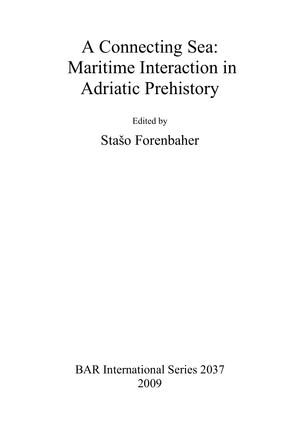# A Connecting Sea: Maritime Interaction in Adriatic Prehistory

Edited by Stašo Forenbaher

BAR International Series 2037 2009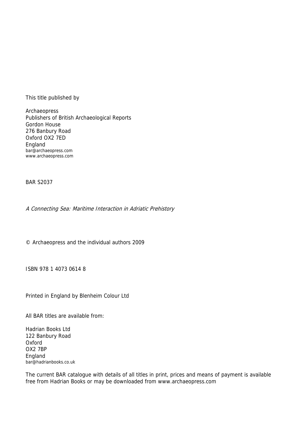This title published by

Archaeopress Publishers of British Archaeological Reports Gordon House 276 Banbury Road Oxford OX2 7ED England bar@archaeopress.com www.archaeopress.com

BAR S2037

A Connecting Sea: Maritime Interaction in Adriatic Prehistory

© Archaeopress and the individual authors 2009

ISBN 978 1 4073 0614 8

Printed in England by Blenheim Colour Ltd

All BAR titles are available from:

Hadrian Books Ltd 122 Banbury Road Oxford OX2 7BP England bar@hadrianbooks.co.uk

The current BAR catalogue with details of all titles in print, prices and means of payment is available free from Hadrian Books or may be downloaded from www.archaeopress.com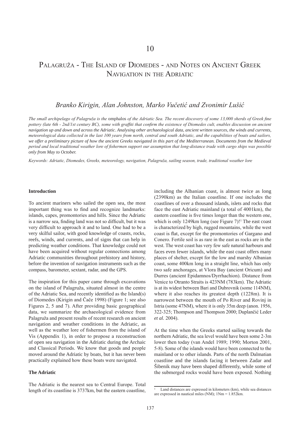# Palagruža - The Island of Diomedes - and Notes on Ancient Greek Navigation in the Adriatic

# *Branko Kirigin, Alan Johnston, Marko Vučetić and Zvonimir Lušić*

*The small archipelago of Palagruža is the* omphalos *of the Adriatic Sea. The recent discovery of some 13,000 sherds of Greek fine pottery (late 6th - 2nd/1st century BC), some with graffiti that confirm the existence of Diomedes cult, enables discussion on ancient navigation up and down and across the Adriatic. Analysing other archaeological data, ancient written sources, the winds and currents, meteorological data collected in the last 100 years from north, central and south Adriatic, and the capabilities of boats and sailors,*  we offer a preliminary picture of how the ancient Greeks navigated in this part of the Mediterranean. Documents from the Medieval *period and local traditional weather lore of fishermen support our assumption that long-distance trade with cargo ships was possible only from May to October.*

*Keywords: Adriatic, Diomedes, Greeks, meteorology, navigation, Palagruža, sailing season, trade, traditional weather lore*

#### **Introduction**

To ancient mariners who sailed the open sea, the most important thing was to find and recognize landmarks: islands, capes, promontories and hills. Since the Adriatic is a narrow sea, finding land was not so difficult, but it was very difficult to approach it and to land. One had to be a very skilful sailor, with good knowledge of coasts, rocks, reefs, winds, and currents, and of signs that can help in predicting weather conditions. That knowledge could not have been acquired without regular connections among Adriatic communities throughout prehistory and history, before the invention of navigation instruments such as the compass, barometer, sextant, radar, and the GPS.

The inspiration for this paper came through excavations on the island of Palagruža, situated almost in the centre of the Adriatic Sea, and recently identified as the Island(s) of Diomedes (Kirigin and Čače 1998) (Figure 1; see also Figures 2, 5 and 7). After providing basic geographical data, we summarize the archaeological evidence from Palagruža and present results of recent research on ancient navigation and weather conditions in the Adriatic, as well as the weather lore of fishermen from the island of Vis (Appendix 1), in order to propose a reconstruction of open sea navigation in the Adriatic during the Archaic and Classical Periods. We know that goods and people moved around the Adriatic by boats, but it has never been practically explained how these boats were navigated.

#### **The Adriatic**

The Adriatic is the nearest sea to Central Europe. Total length of its coastline is 3737km, but the eastern coastline, including the Albanian coast, is almost twice as long (2390km) as the Italian coastline. If one includes the coastlines of over a thousand islands, islets and rocks that face the east Adriatic mainland (a total of 4001km), the eastern coastline is five times longer than the western one, which is only 1249 $km$  long (see Figure 7)!<sup>1</sup> The east coast is characterized by high, rugged mountains, while the west coast is flat, except for the promontories of Gargano and Conero. Fertile soil is as rare in the east as rocks are in the west. The west coast has very few safe natural harbours and faces even fewer islands, while the east coast offers many places of shelter, except for the low and marshy Albanian coast, some 400km long in a straight line, which has only two safe anchorages, at Vlora Bay (ancient Oricum) and Durres (ancient Epidamnos/Dyrrhachion). Distance from Venice to Otranto Straits is 423NM (783km). The Adriatic is at its widest between Bari and Dubrovnik (some 114NM), where it also reaches its greatest depth (1228m). It is narrowest between the mouth of Po River and Rovinj in Istria (some 47NM), where it is only 35m deep (anon. 1956, 322-325; Thompson and Thompson 2000; Duplančić Leder *et al.* 2004).

At the time when the Greeks started sailing towards the northern Adriatic, the sea level would have been some 2-3m lower then today (van Andel 1989; 1990; Morton 2001, 5-8). Some of the islands would have been connected to the mainland or to other islands. Parts of the north Dalmatian coastline and the islands facing it between Zadar and Šibenik may have been shaped differently, while some of the submerged rocks would have been exposed. Nothing

<sup>1</sup> Land distances are expressed in kilometers (km), while sea distances are expressed in nautical miles (NM); 1Nm = 1.852km.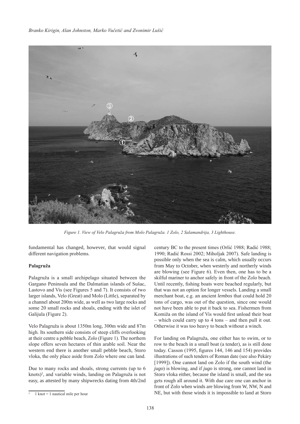

*Figure 1. View of Velo Palagruža from Molo Palagruža. 1 Zolo, 2 Salamandrija, 3 Lighthouse.*

fundamental has changed, however, that would signal different navigation problems.

#### **Palagruža**

Palagruža is a small archipelago situated between the Gargano Peninsula and the Dalmatian islands of Sušac, Lastovo and Vis (see Figures 5 and 7). It consists of two larger islands, Velo (Great) and Molo (Little), separated by a channel about 200m wide, as well as two large rocks and some 20 small rocks and shoals, ending with the islet of Galijula (Figure 2).

Velo Palagruža is about 1350m long, 300m wide and 87m high. Its southern side consists of steep cliffs overlooking at their centre a pebble beach, Zolo (Figure 1). The northern slope offers seven hectares of thin arable soil. Near the western end there is another small pebble beach, Storo vloka, the only place aside from Zolo where one can land.

Due to many rocks and shoals, strong currents (up to 6 knots)<sup>2</sup>, and variable winds, landing on Palagruža is not easy, as attested by many shipwrecks dating from 4th/2nd

century BC to the present times (Orlić 1988; Radić 1988; 1990; Radić Rossi 2002; Miholjak 2007). Safe landing is possible only when the sea is calm, which usually occurs from May to October, when westerly and northerly winds are blowing (see Figure 6). Even then, one has to be a skilful mariner to anchor safely in front of the Zolo beach. Until recently, fishing boats were beached regularly, but that was not an option for longer vessels. Landing a small merchant boat, e.g. an ancient *lembos* that could hold 20 tons of cargo, was out of the question, since one would not have been able to put it back to sea. Fishermen from Komiža on the island of Vis would first unload their boat – which could carry up to 4 tons – and then pull it out. Otherwise it was too heavy to beach without a winch.

For landing on Palagruža, one either has to swim, or to row to the beach in a small boat (a tender), as is still done today. Casson (1995, figures 144, 146 and 154) provides illustrations of such tenders of Roman date (see also Pekáry [1999]). One cannot land on Zolo if the south wind (the *jugo*) is blowing, and if *jugo* is strong, one cannot land in Storo vloka either, because the island is small, and the sea gets rough all around it. With due care one can anchor in front of Zolo when winds are blowing from W, NW, N and NE, but with those winds it is impossible to land at Storo

 $1$  knot  $= 1$  nautical mile per hour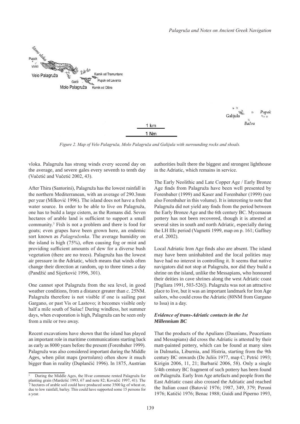

Pupak Galijula Bačva

*Figure 2. Map of Velo Palagruža, Molo Palagruža and Galijula with surrounding rocks and shoals.*

1 km 1 Nm

vloka. Palagruža has strong winds every second day on the average, and severe gales every seventh to tenth day (Vučetić and Vučetić 2002, 43).

After Thira (Santorini), Palagruža has the lowest rainfall in the northern Mediterranean, with an average of 290.3mm per year (Milković 1996). The island does not have a fresh water source. In order to be able to live on Palagruža, one has to build a large cistern, as the Romans did. Seven hectares of arable land is sufficient to support a small community.3 Fish is not a problem and there is food for goats; even grapes have been grown here, an endemic sort known as *Palagružonka*. The average humidity on the island is high (75%), often causing fog or mist and providing sufficient amounts of dew for a diverse bush vegetation (there are no trees). Palagruža has the lowest air pressure in the Adriatic, which means that winds often change their direction at random, up to three times a day (Pandžić and Sijerković 1996, 301).

One cannot spot Palagruža from the sea level, in good weather conditions, from a distance greater than *c.* 25NM. Palagruža therefore is not visible if one is sailing past Gargano, or past Vis or Lastovo; it becomes visible only half a mile south of Sušac! During windless, hot summer days, when evaporation is high, Palagruža can be seen only from a mile or two away.

Recent excavations have shown that the island has played an important role in maritime communications starting back as early as 8000 years before the present (Forenbaher 1999). Palagruža was also considered important during the Middle Ages, when pilot maps (*portolans*) often show it much bigger than in reality (Duplančić 1996). In 1875, Austrian authorities built there the biggest and strongest lighthouse in the Adriatic, which remains in service.

The Early Neolithic and Late Copper Age / Early Bronze Age finds from Palagruža have been well presented by Forenbaher (1999) and Kaser and Forenbaher (1999) (see also Forenbaher in this volume). It is interesting to note that Palagruža did not yield any finds from the period between the Early Bronze Age and the 6th century BC. Mycenaean pottery has not been recovered, though it is attested at several sites in south and north Adriatic, especially during the LH IIIc period (Vagnetti 1999, map on p. 161; Gaffney *et al.* 2002).

Local Adriatic Iron Age finds also are absent. The island may have been uninhabited and the local polities may have had no interest in controlling it. It seems that native navigators did not stop at Palagruža, nor did they build a shrine on the island, unlike the Messapians, who honoured their deities in cave shrines along the west Adriatic coast [Pagliara 1991, 503-526]). Palagruža was not an attractive place to live, but it was an important landmark for Iron Age sailors, who could cross the Adriatic (80NM from Gargano to Issa) in a day.

#### *Evidence of trans-Adriatic contacts in the 1st Millennium BC*

That the products of the Apulians (Daunians, Peucetians and Messapians) did cross the Adriatic is attested by their matt-painted pottery, which can be found at many sites in Dalmatia, Liburnia, and Histria, starting from the 9th century BC onwards (De Juliis 1977, map C; Petrić 1993; Kirigin 2006, 11, 21; Barbarić 2006, 58). Only a single 5/4th century BC fragment of such pottery has been found on Palagruža. Early Iron Age artefacts and people from the East Adriatic coast also crossed the Adriatic and reached the Italian coast (Batović 1976; 1987, 349, 379; Peroni 1976; Katičić 1976; Benac 1988; Guidi and Piperno 1993,

<sup>3</sup> During the Middle Ages, the Hvar commune rented Palagruža for planting grain (Mardešić 1993, 67 and note 82; Kovačić 1997, 41). The 7 hectares of arable soil could have produced some 3500 kg of wheat or, due to low rainfall, barley. This could have supported some 15 persons for a year.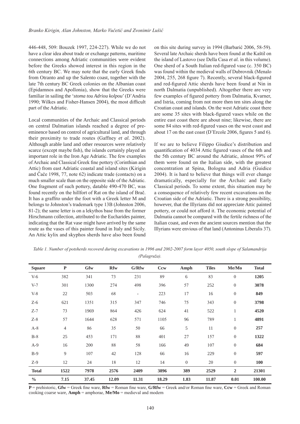446-448, 509: Bouzek 1997, 224-227). While we do not have a clear idea about trade or exchange patterns, maritime connections among Adriatic communities were evident before the Greeks showed interest in this region in the 6th century BC. We may note that the early Greek finds from Otranto and up the Salento coast, together with the late 7th century BC Greek colonies on the Albanian coast (Epidamnos and Apollonia), show that the Greeks were familiar in sailing the '*stoma tou Adriou kolpou*' (D'Andria 1990; Wilkes and Fisher-Hansen 2004), the most difficult part of the Adriatic.

Local communities of the Archaic and Classical periods on central Dalmatian islands reached a degree of preeminence based on control of agricultural land, and through their proximity to trade routes (Gaffney *et al.* 2002). Although arable land and other resources were relatively scarce (except maybe fish), the islands certainly played an important role in the Iron Age Adriatic. The few examples of Archaic and Classical Greek fine pottery (Corinthian and Attic) from east Adriatic coastal and island sites (Kirigin and Čače 1998, 77, note 62) indicate trade (contacts) on a much smaller scale than on the opposite side of the Adriatic. One fragment of such pottery, datable 490-470 BC, was found recently on the hillfort of Rat on the island of Brač. It has a graffito under the foot with a Greek letter M and belongs to Johnston's trademark type 13B (Johnston 2006, 81-2); the same letter is on a lekythos base from the former Hirschmann collection, attributed to the Eucharides painter, indicating that the Rat vase might have arrived by the same route as the vases of this painter found in Italy and Sicily. An Attic kylix and skyphos sherds have also been found on this site during survey in 1994 (Barbarić 2006, 58-59). Several late Archaic sherds have been found at the Kaštil on the island of Lastovo (see Della Casa *et al.* in this volume). One sherd of a South Italian red-figured vase (c. 350 BC) was found within the medieval walls of Dubrovnik (Menalo 2004, 255, 268 figure 7). Recently, several black-figured and red-figured Attic sherds have been found at Nin in north Dalmatia (unpublished). Altogether there are very few examples of figured pottery from Dalmatia, Kvarner, and Istria, coming from not more then ten sites along the Croatian coast and islands. On the west Adriatic coast there are some 35 sites with black-figured vases while on the entire east coast there are about nine; likewise, there are some 84 sites with red-figured vases on the west coast and about 17 on the east coast (D'Ercole 2006, figures 5 and 6).

If we are to believe Filippo Giudice's distribution and quantification of 4034 Attic figured vases of the 6th and the 5th century BC around the Adriatic, almost 99% of them were found on the Italian side, with the greatest concentration at Spina, Bologna and Adria (Guidice 2004). It is hard to believe that things will ever change dramatically, especially for the Archaic and Early Classical periods. To some extent, this situation may be a consequence of relatively few recent excavations on the Croatian side of the Adriatic. There is a strong possibility, however, that the Illyrians did not appreciate Attic painted pottery, or could not afford it. The economic potential of Dalmatia cannot be compared with the fertile richness of the Italian coast, and even the ancient sources mention that the Illyrians were envious of that land (Antoninus Liberalis 37).

| <b>Square</b> | ${\bf P}$      | Gfw   | <b>Rfw</b> | G/Rfw                    | <b>Ccw</b> | Amph     | <b>Tiles</b> | Me/Mo            | <b>Total</b> |
|---------------|----------------|-------|------------|--------------------------|------------|----------|--------------|------------------|--------------|
| $V-6$         | 382            | 341   | 73         | 231                      | 89         | 6        | 83           | $\theta$         | 1205         |
| $V-7$         | 301            | 1300  | 274        | 498                      | 396        | 57       | 252          | $\boldsymbol{0}$ | 3078         |
| $V-8$         | 22             | 503   | 68         | $\overline{\phantom{a}}$ | 223        | 17       | 16           | $\boldsymbol{0}$ | 849          |
| $Z-6$         | 621            | 1351  | 315        | 347                      | 746        | 75       | 343          | $\boldsymbol{0}$ | 3798         |
| $Z-7$         | 73             | 1969  | 864        | 426                      | 624        | 41       | 522          | $\mathbf{1}$     | 4520         |
| $Z-8$         | 57             | 1644  | 628        | 571                      | 1105       | 96       | 789          | $\mathbf{1}$     | 4891         |
| $A-8$         | $\overline{4}$ | 86    | 35         | 50                       | 66         | 5        | 11           | $\theta$         | 257          |
| $B-8$         | 25             | 453   | 171        | 88                       | 401        | 27       | 157          | $\mathbf{0}$     | 1322         |
| $A-9$         | 16             | 200   | 88         | 58                       | 166        | 49       | 107          | $\mathbf{0}$     | 684          |
| $B-9$         | 9              | 107   | 42         | 128                      | 66         | 16       | 229          | $\boldsymbol{0}$ | 597          |
| $Z-9$         | 12             | 24    | 18         | 12                       | 14         | $\theta$ | $20\,$       | $\theta$         | 100          |
| <b>Total</b>  | 1522           | 7978  | 2576       | 2409                     | 3896       | 389      | 2529         | $\overline{2}$   | 21301        |
| $\frac{0}{0}$ | 7.15           | 37.45 | 12.09      | 11.31                    | 18.29      | 1.83     | 11.87        | 0.01             | 100.00       |

*Table 1. Number of potsherds recoverd during excavations in 1996 and 2002-2007 form layer 4050, south slope of Salamandrija (Palagruža).*

**P** = prehistoric, **Gfw** = Greek fine ware, **Rfw** = Roman fine ware, **G/Rfw** = Greek and/or Roman fine ware, **Ccw** = Greek and Roman cooking coarse ware, **Amph** = amphorae, **Me/Mo** = medieval and modern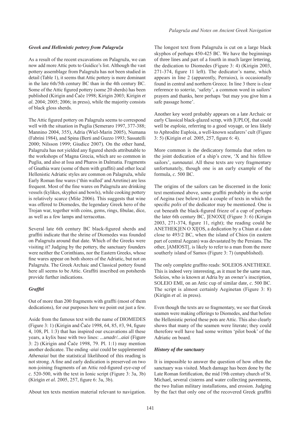# *Greek and Hellenistic pottery from Palagruža*

As a result of the recent excavations on Palagruža, we can now add more Attic pots to Guidice's list. Although the vast pottery assemblage from Palagruža has not been studied in detail (Table 1), it seems that Attic pottery is more dominant in the late 6th/5th century BC than in the 4th century BC. Some of the Attic figured pottery (some 20 sherds) has been published (Kirigin and Čače 1998; Kirigin 2003; Kirigin *et al.* 2004; 2005; 2006; in press), while the majority consists of black gloss sherds.

The Attic figured pottery on Palagruža seems to correspond well with the situation in Puglia (Semeraro 1997, 377-388; Mannino 2004, 355), Adria (Wiel-Marin 2005), Numana (Fabrini 1984), and Spina (Berti and Guzzo 1993; Sassatelli 2000; Nilsson 1999; Giudice 2007). On the other hand, Palagruža has not yielded any figured sherds attributable to the workshops of Magna Grecia, which are so common in Puglia, and also at Issa and Pharos in Dalmatia. Fragments of Gnathia ware (some of them with graffiti) and other local Hellenistic Adriatic styles are common on Palagruža, while Early Roman fine wares ('thin walled' and Arretine) are less frequent. Most of the fine wares on Palagruža are drinking vessels (kylikes, skyphoi and bowls), while cooking pottery is relatively scarce (Miše 2006). This suggests that wine was offered to Diomedes, the legendary Greek hero of the Trojan war, together with coins, gems, rings, fibulae, dice, as well as a few lamps and terracottas.

Several late 6th century BC black-figured sherds and graffiti indicate that the shrine of Diomedes was founded on Palagruža around that date. Which of the Greeks were visiting it? Judging by the pottery, the sanctuary founders were neither the Corinthians, nor the Eastern Greeks, whose fine wares appear on both shores of the Adriatic, but not on Palagruža. The Greek Archaic and Classical pottery found here all seems to be Attic. Graffiti inscribed on potsherds provide further indications.

# *Graffiti*

Out of more than 200 fragments with graffti (most of them dedications), for our purposes here we point out just a few.

Aside from the famous text with the name of DIOMEDES (Figure 3: 1) (Kirigin and Čače 1998, 64, 85, #3, 94, figure 4, 108, Pl. 1:3) that has inspired our excavations all these years, a kylix base with two lines: *...unadr/...aiai* (Figure 3: 2) (Kirigin and Čače 1998, 79. Pl. 1:1) may mention another dedicatee. The ending -*aiai* could be supplemented *Athenaiai* but the statistical likelihood of this reading is not strong. A fine and early dedication is preserved on two non-joining fragments of an Attic red-figured eye-cup of *c.* 520-500, with the text in Ionic script (Figure 3: 3a, 3b) (Kirigin *et al.* 2005, 257, figure 6: 3a, 3b).

About ten texts mention material relevant to navigation.

The longest text from Palagruža is cut on a large black skyphos of perhaps 450-425 BC. We have the beginnings of three lines and part of a fourth in much larger lettering, the dedication to Diomedes (Figure 3: 4) (Kirigin 2003, 271-374, figure 11 left). The dedicator's name, which appears in line 2 (apparently, Perraios), is occasionally found in central and northern Greece. In line 3 there is clear reference to *soteria*, 'safety', a common word in sailors' prayers and thanks, here perhaps 'but may you give him a safe passage home'.

Another key word probably appears on a late Archaic or early Classical black-glazed scrap, with ]UPLO[, that could well be *euploia*, referring to a good voyage, or less likely to Aphrodite Euploia, a well-known seafarers' cult (Figure 3: 5) (Kirigin *et al.* 2005, 257, figure 6: 4).

More common is the dedicatory formula that refers to the joint dedication of a ship's crew, 'X and his fellow sailors', *sunnautai*. All these texts are very fragmentary unfortunately, though one is an early example of the formula, *c.* 500 BC.

The origins of the sailors can be discerned in the Ionic text mentioned above, some graffiti probably in the script of Aegina (see below) and a couple of texts in which the specific *polis* of the dedicator may be mentioned. One is cut beneath the black-figured frieze of a cup of perhaps the later 6th century BC, ]ENOXI[ (Figure 3: 6) (Kirigin 2003, 271-374, figure 11, right); the reading could be ANETHEK]EN O XI[OS, a dedication by a Chian at a date close to 493/2 BC, when the island of Chios (in eastern part of central Aegean) was devastated by the Persians. The other, ]AMIOST[, is likely to refer to a man from the more southerly island of Samos (Figure 3: 7) (unpublished).

The only complete graffito reads: SOLEIOS ANETHEKE. This is indeed very interesting, as it must be the same man, Soleios, who is known at Adria by an owner's inscription, SOLEIO EMI, on an Attic cup of similar date, *c.* 500 BC. The script is almost certainly Aeginetan (Figure 3: 8) (Kirigin *et al.* in press).

Even though the texts are so fragmentary, we see that Greek seamen were making offerings to Diomedes, and that before the Hellenistic period these pots are Attic. This also clearly shows that many of the seamen were literate; they could therefore well have had some written 'pilot book' of the Adriatic on board.

## *History of the sanctuary*

It is impossible to answer the question of how often the sanctuary was visited. Much damage has been done by the Late Roman fortification, the mid 19th century church of St. Michael, several cisterns and water collecting pavements, the two Italian military installations, and erosion. Judging by the fact that only one of the recovered Greek graffiti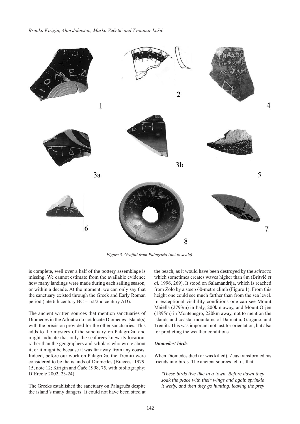

*Figure 3. Graffiti from Palagruža (not to scale).*

is complete, well over a half of the pottery assemblage is missing. We cannot estimate from the available evidence how many landings were made during each sailing season, or within a decade. At the moment, we can only say that the sanctuary existed through the Greek and Early Roman period (late 6th century BC – 1st/2nd century AD).

The ancient written sources that mention sanctuaries of Diomedes in the Adriatic do not locate Diomedes' Island(s) with the precision provided for the other sanctuaries. This adds to the mystery of the sanctuary on Palagruža, and might indicate that only the seafarers knew its location, rather than the geographers and scholars who wrote about it, or it might be because it was far away from any coasts. Indeed, before our work on Palagruža, the Tremiti were considered to be the islands of Diomedes (Braccesi 1979, 15, note 12; Kirigin and Čače 1998, 75, with bibliography; D'Ercole 2002, 23-24).

The Greeks established the sanctuary on Palagruža despite the island's many dangers. It could not have been sited at the beach, as it would have been destroyed by the *scirocco* which sometimes creates waves higher than 8m (Britvić *et al.* 1996, 269). It stood on Salamandrija, which is reached from Zolo by a steep 60-metre climb (Figure 1). From this height one could see much farther than from the sea level. In exceptional visibility conditions one can see Mount Maiella (2793m) in Italy, 200km away, and Mount Orjen (1895m) in Montenegro, 220km away, not to mention the islands and coastal mountains of Dalmatia, Gargano, and Tremiti. This was important not just for orientation, but also for predicting the weather conditions.

#### *Diomedes' birds*

When Diomedes died (or was killed), Zeus transformed his friends into birds. The ancient sources tell us that:

*'These birds live like in a town. Before dawn they soak the place with their wings and again sprinkle it wetly, and then they go hunting, leaving the prey*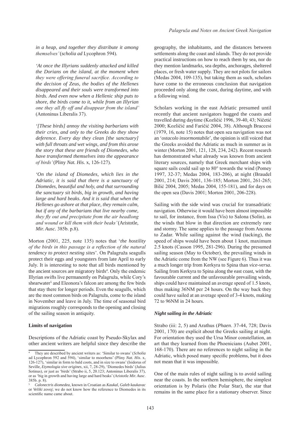*in a heap, and together they distribute it among themselves'* (*scholia ad* Lycophron 594)*.*

*'At once the Illyrians suddenly attacked and killed the Dorians on the island, at the moment when they were offering funeral sacrifice. According to the decision of Zeus, the bodies of the Hellenes disappeared and their souls were transformed into birds. And even now when a Hellenic ship puts to shore, the birds come to it, while from an Illyrian one they all fly off and disappear from the island'*  (Antoninus Liberalis 37).

*'[These birds] annoy the visiting barbarians with their cries, and only to the Greeks do they show deference. Every day they clean [the sanctuary] with full throats and wet wings, and from this arose the story that these are friends of Diomedes, who have transformed themselves into the appearance of birds'* (Pliny *Nat. His.* x, 126-127)*.*

*'On the island of Diomedes, which lies in the Adriatic, it is said that there is a sanctuary of Diomedes, beautiful and holy, and that surrounding the sanctuary sit birds, big in growth, and having large and hard beaks. And it is said that when the Hellenes go ashore at that place, they remain calm, but if any of the barbarians that live nearby come, they fly out and precipitate from the air headlong and wound or kill them with their beaks'* (Aristotle, *Mir. Ausc.* 385b. p.8).

Morton (2001, 225, note 135) notes that '*the hostility of the birds in this passage is a reflection of the natural tendency to protect nesting sites*'. On Palagruža seagulls protect their eggs and youngsters from late April to early July. It is interesting to note that all birds mentioned by the ancient sources are migratory birds<sup>4</sup>. Only the endemic Illyrian swifts live permanently on Palagruža, while Cory's shearwater<sup>5</sup> and Eleonora's falcon are among the few birds that stay there for longer periods. Even the seagulls, which are the most common birds on Palagruža, come to the island in November and leave in July. The time of seasonal bird migrations roughly corresponds to the opening and closing of the sailing season in antiquity.

#### **Limits of navigation**

Descriptions of the Adriatic coast by Pseudo-Skylax and other ancient writers are helpful since they describe the

geography, the inhabitants, and the distances between settlements along the coast and islands. They do not provide practical instructions on how to reach them by sea, nor do they mention landmarks, sea depths, anchorages, sheltered places, or fresh water supply. They are not pilots for sailors (Medas 2004, 109-135), but taking them as such, scholars have come to the erroneous conclusion that navigation proceeded only along the coast, during daytime, and with a following wind.

Scholars working in the east Adriatic presumed until recently that ancient navigators hugged the coasts and travelled during daytime (Kozličić 1996, 39-40, 43; Ničetić 2000; Kozličić and Faričić 2004, 38). Although Braccesi (1979, 16, note 15) notes that open sea navigation was not an '*ostacolo insormontabile*'*,* the opinion is still voiced that the Greeks avoided the Adriatic as much in summer as in winter (Morton 2001, 121, 128, 234, 242). Recent research has demonstrated what already was known from ancient literary sources, namely that Greek merchant ships with square sails could sail up to 80° towards the wind (Pomey 1997, 32-37; Medas 2004, 183-206), at night (Braudel 2001, 214; Davis 2001, 136-185; Morton 2001, 261-265; Bilić 2004, 2005; Medas 2004, 155-181), and for days on the open sea (Davis 2001; Morton 2001, 206-228).

Sailing with the side wind was crucial for transadriatic navigation. Otherwise it would have been almost impossible to sail, for instance, from Issa (Vis) to Salona (Solin), as the winds that blow in that direction are extremely rare and stormy. The same applies to the passage from Ancona to Zadar. While sailing against the wind (tacking), the speed of ships would have been about 1 knot, maximum 2.5 knots (Casson 1995, 281-296). During the presumed sailing season (May to October), the prevailing winds in the Adriatic come from the NW (see Figure 6). Thus it was a much longer trip from Kerkyra to Spina than *vice-versa*. Sailing from Kerkyra to Spina along the east coast, with the favourable current and the unfavourable prevailing winds, ships could have maintained an average speed of 1.5 knots, thus making 36NM per 24 hours. On the way back they could have sailed at an average speed of 3-4 knots, making 72 to 96NM in 24 hours.

#### *Night sailing in the Adriatic*

Strabo (iii: 2, 5) and Arathus (*Phaen*. 37-44, 728; Davis 2001, 170) are explicit about the Greeks sailing at night. For orientation they used the Ursa Minor constellation, an art that they learned from the Phoenicians (Aubet 2001, 168-170). There are no references to night sailing in the Adriatic, which posed many specific problems, but it does not mean that it was impossible.

One of the main rules of night sailing is to avoid sailing near the coasts. In the northern hemisphere, the simplest orientation is by Polaris (the Polar Star), the star that remains in the same place for a stationary observer. Since

<sup>4</sup> They are described by ancient writers as: 'Similar to swans' (*Scholia* ad Lycophron 592 and 594), 'similar to moorhens' (Pliny *Nat. His*. x, 126-127), 'similar in form to bald coots, and in size to swans' (Isidorus of Seville, *Etymologia sive origines*, xii, 7, 28-29), 'Diomedes birds' (Julius Sotinus), or just as 'birds' (Strabo ii*,* 5, 20.123; Antoninus Liberalis 37), or as 'big in growth and having large and hard beaks' (Aristotle *Mir. Ausc*. 385b. p. 8).

<sup>5</sup> *Calonectris diomedea,* known in Croatian as *Kaukal, Galeb kaukavac*  or *Veliki zovoj*; we do not know how the reference to Diomedes in its scientific name came about.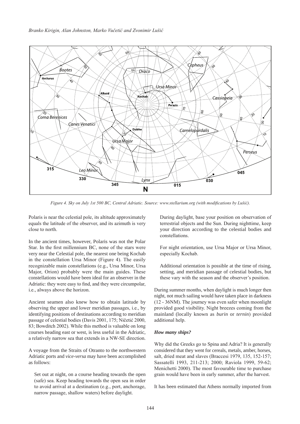

*Figure 4. Sky on July 1st 500 BC, Central Adriatic. Source: www.stellarium.org (with modifications by Lušić).*

Polaris is near the celestial pole, its altitude approximately equals the latitude of the observer, and its azimuth is very close to north.

In the ancient times, however, Polaris was not the Polar Star. In the first millennium BC, none of the stars were very near the Celestial pole, the nearest one being Kochab in the constellation Ursa Minor (Figure 4). The easily recognizable main constellations (e.g., Ursa Minor, Ursa Major, Orion) probably were the main guides. These constellations would have been ideal for an observer in the Adriatic: they were easy to find, and they were circumpolar, i.e., always above the horizon.

Ancient seamen also knew how to obtain latitude by observing the upper and lower meridian passages, i.e., by identifying positions of destinations according to meridian passage of celestial bodies (Davis 2001, 175; Ničetić 2000, 83; Bowditch 2002). While this method is valuable on long courses heading east or west, is less useful in the Adriatic, a relatively narrow sea that extends in a NW-SE direction.

A voyage from the Straits of Otranto to the northwestern Adriatic ports and *vice-versa* may have been accomplished as follows:

Set out at night, on a course heading towards the open (safe) sea. Keep heading towards the open sea in order to avoid arrival at a destination (e.g., port, anchorage, narrow passage, shallow waters) before daylight.

During daylight, base your position on observation of terrestrial objects and the Sun. During nighttime, keep your direction according to the celestial bodies and constellations.

For night orientation, use Ursa Major or Ursa Minor, especially Kochab.

Additional orientation is possible at the time of rising, setting, and meridian passage of celestial bodies, but these vary with the season and the observer's position.

During summer months, when daylight is much longer then night, not much sailing would have taken place in darkness (12 - 36NM). The journey was even safer when moonlight provided good visibility. Night breezes coming from the mainland (locally known as *burin* or *ternin*) provided additional help.

#### *How many ships?*

Why did the Greeks go to Spina and Adria? It is generally considered that they went for cereals, metals, amber, horses, salt, dried meat and slaves (Braccesi 1979, 135, 152-157; Sassatelli 1993, 211-213; 2000; Raviola 1999, 59-62; Menichetti 2000). The most favourable time to purchase grain would have been in early summer, after the harvest.

It has been estimated that Athens normally imported from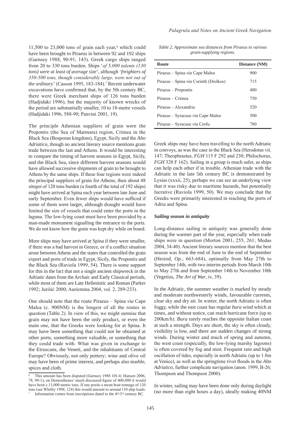$11,500$  to  $23,000$  tons of grain each year,<sup>6</sup> which could have been brought to Piraeus in between 92 and 192 ships (Garnsey 1988, 90-91, 143). Greek cargo ships ranged from 20 to 330 tons burden. Ships '*of 5,000 talents (130 tons) were at least of average size*', although '*freighters of 350-500 tons, though considerably large, were not out of*  the ordinary' (Casson 1995, 183-184).<sup>7</sup> Recent underwater excavations have confirmed that, by the 5th century BC, there were Greek merchant ships of 126 tons burden (Hadjidaki 1996), but the majority of known wrecks of the period are substantially smaller, 10 to 18-metre vessels (Hadjidaki 1996, 588-90; Panvini 2001, 19).

The principle Athenian suppliers of grain were the Propontis (the Sea of Marmara) region, Crimea in the Black Sea (Bosporan kingdom), Egypt, Sicily and the *Alto Adriatico,* though no ancient literary source mentions grain trade between the last and Athens. It would be interesting to compare the timing of harvest seasons in Egypt, Sicily, and the Black Sea, since different harvest seasons would have allowed successive shipments of grain to be brought to Athens by the same ships. If these four regions were indeed the principal suppliers of grain for Athens, then about 48 *sitegoi* of 120 tons burden (a fourth of the total of 192 ships) might have arrived at Spina each year between late June and early September. Even fewer ships would have sufficed if some of them were larger, although draught would have limited the size of vessels that could enter the ports in the laguna. The low-lying coast must have been provided by a man-made monument signalling the entrance to the ports. We do not know how the grain was kept dry while on board.

More ships may have arrived at Spina if they were smaller, if there was a bad harvest in Greece, or if a conflict situation arose between Athens and the states that controlled the grain export and ports of trade in Egypt, Sicily, the Propontis and the Black Sea (Raviola 1999, 54). There is some support for this in the fact that not a single ancient shipwreck in the Adriatic dates from the Archaic and Early Classical periods, while most of them are Late Hellenistic and Roman (Parker 1992; Jurišić 2000; Auriemma 2004, vol. 2, 289-233).

One should note that the route Piraeus – Spina *via* Cape Malea (c. 900NM) is the longest of all the routes in question (Table 2). In view of this, we might surmise that grain may not have been the only product, or even the main one, that the Greeks were looking for at Spina. It may have been something that could not be obtained at other ports, something more valuable, or something that they could trade with. What was given in exchange to the Etruscans, the Veneti, and the inhabitants of Central Europe? Obviously, not only pottery; wine and olive oil may have been of prime interest, and perhaps also marble, spices and cloth.

*Table 2. Approximate sea distances from Piraeus to various grain-supplying regions.*

| Route                                 | Distance (NM) |  |  |
|---------------------------------------|---------------|--|--|
| Piraeus – Spina via Cape Malea        | 900           |  |  |
| Piraeus - Spina via Corinth (Diolkos) | 715           |  |  |
| Piraeus - Propontis                   | 480           |  |  |
| Piraeus – Crimea                      | 750           |  |  |
| Piraeus – Alexandria                  | 520           |  |  |
| Piraeus – Syracuse via Cape Malea     | 500           |  |  |
| Piraeus - Syracuse via Corfu          | 780           |  |  |

Greek ships may have been travelling to the north Adriatic in convoys, as was the case in the Black Sea (Herodotus vii. 147; Theophrastus, *FGH* 115 F 292 and 230; Philochorus, *FGH* 328 F 162). Sailing in a group is much safer, as ships can help each other if in trouble. Athenian trade with the Adriatic in the late 5th century BC is demonstrated by Lysias (xxxii, 25), perhaps we can see an underlying view that it was risky due to maritime hazards, but potentially lucrative (Raviola 1999, 50). We may conclude that the Greeks were primarily interested in reaching the ports of Adria and Spina.

#### *Sailing season in antiquity*

Long-distance sailing in antiquity was generally done during the warmer part of the year, especially when trade ships were in question (Morton 2001, 255, 261; Medas 2004, 34-40). Ancient literary sources mention that the best season was from the end of June to the end of September (Hesiod, *Op.,* 663-684), optimally from May 27th to September 14th, with two interim periods from March 10th to May 27th and from September 14th to November 10th (Vegetius, *The Art of War*, iv, 39).

In the Adriatic, the summer weather is marked by steady and moderate northwesterly winds, favourable currents, clear sky and dry air. In winter, the north Adriatic is often foggy, while the east coast has regular *bura* wind which at times, and without notice, can reach hurricane force (up to 200km/h). *Bura* rarely reaches the opposite Italian coast at such a strength. Days are short, the sky is often cloudy, visibility is low, and there are sudden changes of strong winds. During winter and much of spring and autumn, the west coast (especially, the low-lying marshy lagoons) is often covered by fog and mist. Frequent rain and high oscillation of tides, especially in north Adriatic (up to 1.8m at Venice), as well as the springtime river floods in the *Alto Adriatico,* further complicate navigation (anon. 1999, B-26; Thompson and Thompson 2000).

In winter, sailing may have been done only during daylight (no more than eight hours a day), ideally making 40NM

This amount has been disputed (Garnsey 1988 101-6; Hansen 2006, 78, 90-1); on Demosthenes' much discussed figure of 400,000 it would have been c.13,000 metric tons. If one posits a mean boat tonnage of 120 tons (see Whitby 1998, 124) this would amount to around 110 ship loads. Information comes from inscriptions dated to the 4<sup>th</sup>/3<sup>rd</sup> century BC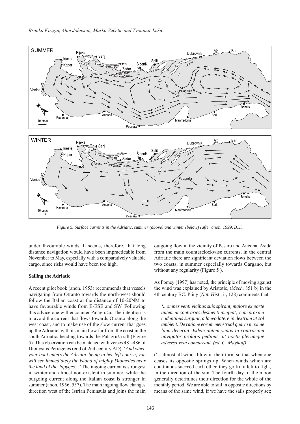

*Figure 5. Surface currents in the Adriatic, summer (above) and winter (below) (after anon. 1999, B11).*

under favourable winds. It seems, therefore, that long distance navigation would have been impracticable from November to May, especially with a comparatively valuable cargo, since risks would have been too high.

#### **Sailing the Adriatic**

A recent pilot book (anon. 1953) recommends that vessels navigating from Otranto towards the north-west should follow the Italian coast at the distance of 10-20NM to have favourable winds from E-ESE and SW. Following this advice one will encounter Palagruža. The intention is to avoid the current that flows towards Otranto along the west coast, and to make use of the slow current that goes up the Adriatic, with its main flow far from the coast in the south Adriatic, heading towards the Palagruža sill (Figure 5). This observation can be matched with verses 481-486 of Dionysius Periegetes (end of 2nd century AD): '*And when your boat enters the Adriatic being in her left course, you will see immediately the island of mighty Diomedes near the land of the Japyges…*' The ingoing current is strongest in winter and almost non-existent in summer, while the outgoing current along the Italian coast is stronger in summer (anon. 1956, 537). The main ingoing flow changes direction west of the Istrian Peninsula and joins the main

outgoing flow in the vicinity of Pesaro and Ancona. Aside from the main counterclockwise currents, in the central Adriatic there are significant deviation flows between the two coasts, in summer especially towards Gargano, but without any regularity (Figure 5).

As Pomey (1997) has noted, the principle of moving against the wind was explained by Aristotle, (*Mech.* 851 b) in the 4th century BC. Pliny (*Nat. Hist*., ii, 128) comments that

*'...omnes venti vicibus suis spirant, maiore ex parte autem ut contraries desinenti incipiat, cum proximi cadentibus surgunt, a laevo latere in dextrum ut sol ambient. De ratione eorum menstrual quarta maxime luna decernit. Isdem autem ventis in contrarium navigator prolatis pedibus, ut noctu plerumque adversa vela concurrant' (ed. C. Mayhoff)*

('...almost all winds blow in their turn, so that when one ceases its opposite springs up. When winds which are continuous succeed each other, they go from left to right, in the direction of the sun. The fourth day of the moon generally determines their direction for the whole of the monthly period. We are able to sail in opposite directions by means of the same wind, if we have the sails properly set;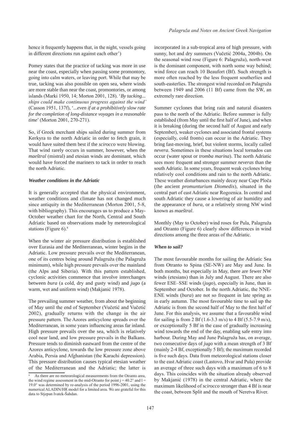hence it frequently happens that, in the night, vessels going in different directions run against each other')

Pomey states that the practice of tacking was more in use near the coast, especially when passing some promontory, going into calm waters, or leaving port. While that may be true, tacking was also possible on open sea, where winds are more stable than near the coast, promontories, or among islands (Marki 1950, 14; Morton 2001, 128). '*By tacking... ships could make continuous progress against the wind'*  (Casson 1951, 137f), '*...even if at a prohibitively slow rate for the completion of long-distance voyages in a reasonable time*' (Morton 2001, 270-271).

So, if Greek merchant ships sailed during summer from Kerkyra to the north Adriatic in order to fetch grain, it would have suited them best if the *scirocco* were blowing. That wind rarely occurs in summer, however, when the *maeštral* (mistral) and etesian winds are dominant, which would have forced the mariners to tack in order to reach the north Adriatic.

#### *Weather conditions in the Adriatic*

It is generally accepted that the physical environment, weather conditions and climate has not changed much since antiquity in the Mediterranean (Morton 2001, 5-8, with bibliography). This encourages us to produce a May-October weather chart for the North, Central and South Adriatic based on observations made by meteorological stations (Figure 6).<sup>8</sup>

When the winter air pressure distribution is established over Eurasia and the Mediterranean, winter begins in the Adriatic. Low pressure prevails over the Mediterranean, one of its centres being around Palagruža (the Palagruža minimum), while high pressure prevails over the mainland (the Alps and Siberia). With this pattern established, cyclonic activities commence that involve interchanges between *bura* (a cold, dry and gusty wind) and *jugo* (a warm, wet and uniform wind) (Makjanić 1978).

The prevailing summer weather, from about the beginning of May until the end of September (Vučetić and Vučetić 2002), gradually returns with the change in the air pressure pattern. The Azores anticyclone spreads over the Mediterranean, in some years influencing areas far inland. High pressure prevails over the sea, which is relatively cool near land, and low pressure prevails in the Balkans. Pressure tends to diminish eastward from the centre of the Azores anticyclone, towards the low pressure zone above Arabia, Persia and Afghanistan (the Karachi depression). This pressure distribution causes typical etesian weather of the Mediterranean and the Adriatic; the latter is incorporated in a sub-tropical area of high pressure, with sunny, hot and dry summers (Vučetić 2004a, 2004b). On the seasonal wind rose (Figure 6: Palagruža), north-west is the dominant component, with north some way behind; wind force can reach 10 Beaufort (Bf). Such strength is more often reached by the less frequent southerlies and south-easterlies. The strongest wind recorded on Palagruža between 1949 and 2006 (11 Bf) came from the SW, an extremely rare direction.

Summer cyclones that bring rain and natural disasters pass to the north of the Adriatic. Before summer is fully established (from May until the first half of June), and when it is breaking (during the second half of August and early September), weaker cyclones and associated frontal systems (especially, cold fronts) can occur in the Adriatic. They bring fast-moving, brief, but violent storms, locally called *nevera*. Sometimes in these situations local tornados can occur (water spout or *tromba marina*). The north Adriatic sees more frequent and stronger summer *neveras* than the south Adriatic. In some years, frequent weak cyclones bring relatively cool conditions and rain to the north Adriatic. These weather disturbances mainly decay near Cape Ploča (the ancient *promunturium Diomedis*), situated in the central part of east Adriatic near Rogoznica. In central and south Adriatic they cause a lowering of air humidity and the appearance of *bura*, or a relatively strong NW wind known as *maeštral*.

Monthly (May to October) wind roses for Pula, Palagruža and Otranto (Figure 6) clearly show differences in wind directions among the three areas of the Adriatic.

#### *When to sail?*

The most favourable months for sailing the Adriatic Sea from Otranto to Spina (SE-NW) are May and June. In both months, but especially in May, there are fewer NW winds (etesians) than in July and August. There are also fewer ESE–SSE winds (*jugo*), especially in June, than in September and October. In the north Adriatic, the NNE-ENE winds (*bura*) are not so frequent in late spring as in early autumn. The most favourable time to sail up the Adriatic is from the second half of May to the first half of June. For this analysis, we assume that a favourable wind for sailing is from 2 Bf (1.6-3.3 m/s) to 4 Bf (5.5-7.9 m/s), or exceptionally 5 Bf in the case of gradually increasing wind towards the end of the day, enabling safe entry into harbour. During May and June Palagruža has, on average, two consecutive days of *jugo* with a mean strength of 3 Bf (mainly 2-4 Bf, exceptionally 5 Bf); the maximum recorded is five such days. Data from meteorological stations closer to the east Adriatic coast (Lastovo, Hvar and Pula) provide an average of three such days with a maximum of 6 to 8 days. This coincides with the situation already observed by Makjanić (1978) in the central Adriatic, where the maximum likelihood of *scirocco* stronger than 4 Bf is near the coast, between Split and the mouth of Neretva River.

As there are no meteorological measurements from the Otranto area, the wind regime assessment in the mid-Otranto for point  $j = 40.2^{\circ}$  and  $l =$ 19.0° was determined by re-analysis of the period 1996-2001, using the numerical ALADIN/HR model for a limited area. We are grateful for this data to Stjepan Ivatek-Šahdan.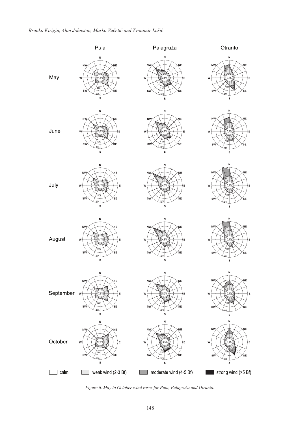

*Figure 6. May to October wind roses for Pula, Palagruža and Otranto.*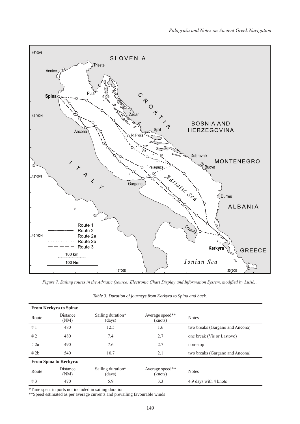

*Figure 7. Sailing routes in the Adriatic (source: Electronic Chart Display and Information System, modified by Lušić).*

| <b>From Kerkyra to Spina:</b> |                         |                             |                            |                                 |  |  |  |  |  |
|-------------------------------|-------------------------|-----------------------------|----------------------------|---------------------------------|--|--|--|--|--|
| Route                         | <b>Distance</b><br>(NM) | Sailing duration*<br>(days) | Average speed**<br>(knots) | <b>Notes</b>                    |  |  |  |  |  |
| #1                            | 480                     | 12.5                        | 1.6                        | two breaks (Gargano and Ancona) |  |  |  |  |  |
| #2                            | 480                     | 7.4                         | 2.7                        | one break (Vis or Lastovo)      |  |  |  |  |  |
| # 2a                          | 490                     | 7.6                         | 2.7                        | non-stop                        |  |  |  |  |  |
| # 2b                          | 540                     | 10.7                        | 2.1                        | two breaks (Gargano and Ancona) |  |  |  |  |  |
| <b>From Spina to Kerkyra:</b> |                         |                             |                            |                                 |  |  |  |  |  |
| Route                         | <b>Distance</b><br>(NM) | Sailing duration*<br>(days) | Average speed**<br>(knots) | <b>Notes</b>                    |  |  |  |  |  |
| #3                            | 470                     | 5.9                         | 3.3                        | 4.9 days with 4 knots           |  |  |  |  |  |

*Table 3. Duration of journeys from Kerkyra to Spina and back.*

\*Time spent in ports not included in sailing duration

\*\*Speed estimated as per average currents and prevailing favourable winds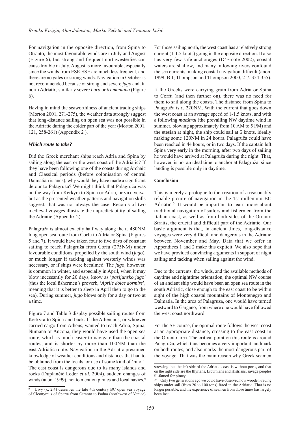For navigation in the opposite direction, from Spina to Otranto, the most favourable winds are in July and August (Figure 6), but strong and frequent northwesterlies can cause trouble in July. August is more favourable, especially since the winds from ESE-SSE are much less frequent, and there are no gales or strong winds. Navigation in October is not recommended because of strong and severe *jugo* and, in north Adriatic, similarly severe *bura* or *tramuntana* (Figure 6).

Having in mind the seaworthiness of ancient trading ships (Morton 2001, 271-275), the weather data strongly suggest that long-distance sailing on open sea was not possible in the Adriatic during the colder part of the year (Morton 2001, 121, 258-261) (Appendix 2 ).

#### *Which route to take?*

Did the Greek merchant ships reach Adria and Spina by sailing along the east or the west coast of the Adriatic? If they have been following one of the coasts during Archaic and Classical periods (before colonisation of central Dalmatian islands), why would they have made a significant detour to Palagruža? We might think that Palagruža was on the way from Kerkyra to Spina or Adria, or vice versa, but as the presented weather patterns and navigation skills suggest, that was not always the case. Records of two medieval voyages illustrate the unpredictability of sailing the Adriatic (Appendix 2).

Palagruža is almost exactly half way along the *c.* 480NM long open sea route from Corfu to Adria or Spina (Figures 5 and 7). It would have taken four to five days of constant sailing to reach Palagruža from Corfu (275NM) under favourable conditions, propelled by the south wind (*jugo*), or much longer if tacking against westerly winds was necessary, or if ships were becalmed. The *jugo*, however, is common in winter, and especially in April, when it may blow incessantly for 20 days, know as '*pasijunsko jugo*' (thus the local fishermen's proverb, '*Aprile dolce dormire*', meaning that it is better to sleep in April then to go to the sea). During summer, *jugo* blows only for a day or two at a time.

Figure 7 and Table 3 display possible sailing routes from Kerkyra to Spina and back. If the Athenians, or whoever carried cargo from Athens, wanted to reach Adria, Spina, Numana or Ancona, they would have used the open sea route, which is much easier to navigate than the coastal routes, and is shorter by more than 100NM than the east Adriatic route. Navigation in the Adriatic presumed knowledge of weather conditions and distances that had to be obtained from the locals, or use of some kind of 'pilot'. The east coast is dangerous due to its many islands and rocks (Duplančić Leder *et al.* 2004), sudden changes of winds (anon. 1999), not to mention pirates and local navies.<sup>9</sup>

For those sailing north, the west coast has a relatively strong current (1-1.5 knots) going in the opposite direction. It also has very few safe anchorages (D'Ercole 2002), coastal waters are shallow, and many inflowing rivers confound the sea currents, making coastal navigation difficult (anon. 1999, B-I; Thompson and Thompson 2000, 2-7, 354-355).

If the Greeks were carrying grain from Adria or Spina to Corfu (and then further on), there was no need for them to sail along the coasts. The distance from Spina to Palagruža is *c.* 220NM. With the current that goes down the west coast at an average speed of 1-1.5 knots, and with a following *maeštral* (the prevailing NW daytime wind in summer, blowing approximately from 10 AM to 5 PM) and the etesian at night, the ship could sail at 5 knots, ideally making some 120NM in 24 hours. Palagruža could have been reached in 44 hours, or in two days. If the captain left Spina very early in the morning, after two days of sailing he would have arrived at Palagruža during the night. That, however, is not an ideal time to anchor at Palagruža, since landing is possible only in daytime.

#### **Conclusion**

This is merely a prologue to the creation of a reasonably reliable picture of navigation in the 1st millenium BC Adriatic<sup>10</sup>. It would be important to learn more about traditional navigation of sailors and fishermen from the Italian coast, as well as from both sides of the Otranto Straits, the crucial and difficult part of the Adriatic. Our basic argument is that, in ancient times, long-distance voyages were very difficult and dangerous in the Adriatic between November and May. Data that we offer in Appendices 1 and 2 make this explicit. We also hope that we have provided convincing arguments in support of night sailing and tacking when sailing against the wind.

Due to the currents, the winds, and the available methods of daytime and nighttime orientation, the optimal NW course of an ancient ship would have been an open sea route in the south Adriatic, close enough to the east coast to be within sight of the high coastal mountains of Montenegro and Dalmatia. In the area of Palagruža, one would have turned westward to Gargano, from where one would have followed the west coast northward.

For the SE course, the optimal route follows the west coast at an appropriate distance, crossing to the east coast in the Otranto area. The critical point on this route is around Palagruža, which thus becomes a very important landmark on both routes, and also marks the most dangerous part of the voyage. That was the main reason why Greek seamen

Livy  $(x, 2, 4)$  describes the late 4th century BC open sea voyage of Cleonymus of Sparta from Otranto to Padua (northwest of Venice)

stressing that the left side of the Adriatic coast is without ports, and that on the right side are the Illyrians, Liburnians and Histrians, savage peoples ill-famed for piracy.

<sup>10</sup> Only two generations ago we could have observed how wooden trading ships under sail (from 20 to 100 tons) fared in the Adriatic. That is no longer possible, and the experience of seamen from those times has largely been lost.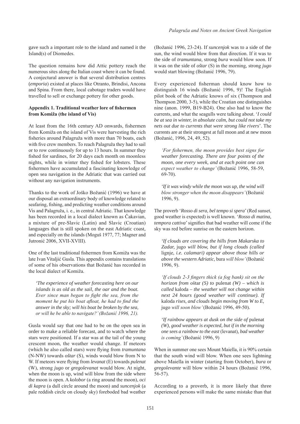gave such a important role to the island and named it the Island(s) of Diomedes.

The question remains how did Attic pottery reach the numerous sites along the Italian coast where it can be found. A conjectural answer is that several distribution centres (*emporia*) existed at places like Otranto, Brindisi, Ancona and Spina. From there, local cabotage traders would have travelled to sell or exchange pottery for other goods.

### **Appendix 1. Traditional weather lore of fishermen from Komiža (the island of Vis)**

At least from the 16th century AD onwards, fishermen from Komiža on the island of Vis were harvesting the rich fisheries around Palagruža with more than 70 boats, each with five crew members. To reach Palagruža they had to sail or to row continuously for up to 13 hours. In summer they fished for sardines, for 20 days each month on moonless nights, while in winter they fished for lobsters. These fishermen have accumulated a fascinating knowledge of open sea navigation in the Adriatic that was carried out without any navigation instruments.

Thanks to the work of Joško Božanić (1996) we have at our disposal an extraordinary body of knowledge related to seafaring, fishing, and predicting weather conditions around Vis and Palagruža, i. e., in central Adriatic. That knowledge has been recorded in a local dialect known as Čakavian, a mixture of pre-Slavic (Latin) and Slavic (Croatian) languages that is still spoken on the east Adriatic coast, and especially on the islands (Moguš 1977, 77; Magner and Jutronić 2006, XVII-XVIII).

One of the last traditional fishermen from Komiža was the late Ivan Vitaljić Gusla. This appendix contains translations of some of his observations that Božanić has recorded in the local dialect of Komiža.

*'The experience of weather forecasting here on our islands is as old as the sail, the oar and the boat. Ever since man began to fight the sea, from the moment he put his boat afloat, he had to find the answer in the sky; will his boat be broken by the sea, or will he be able to navigate?' (Božanić 1996, 21).* 

Gusla would say that one had to be on the open sea in order to make a reliable forecast, and to watch where the stars were positioned. If a star was at the tail of the young crescent moon, the weather would change. If meteors (which he also called stars) were flying from *tramuntana* (N-NW) towards *oštar* (S), winds would blow from N to W. If meteors were flying from *levanat* (E) towards *pulenat* (W), strong *jugo* or *gregolevanat* would blow. At night, when the moon is up, wind will blow from the side where the moon is open. A *kolobor* (a ring around the moon), *oci di kapra* (a dull circle around the moon) and *suncenjok* (a pale reddish circle on cloudy sky) foreboded bad weather

(Božanić 1996, 23-24). If *suncenjok* was to a side of the sun, the wind would blow from that direction. If it was to the side of *tramuntana,* strong *bura* would blow soon. If it was on the side of *oštar* (S) in the morning, strong *jugo* would start blowing (Božanić 1996, 79).

Every experienced fisherman should know how to distinguish 16 winds (Božanić 1996, 9)! The English pilot book of the Adriatic knows of six (Thompson and Thompson 2000, 3-5), while the Croatian one distinguishes nine (anon. 1999, B19-B24). One also had to know the currents, and what the seagulls were talking about. '*I could be at sea in winter, in absolute calm, but could not take my nets out due to currents that were strong like rivers*'. The currents are at their strongest at full moon and at new moon (Božanić, 1996, 24, 49, 52).

*'For fishermen, the moon provides best signs for weather forecasting. There are four points of the moon, one every week, and at each point one can expect weather to change'* (Božanić 1996, 58-59, 69-70).

*'If it was windy while the moon was up, the wind will blow stronger when the moon disappears'* (Božanić 1996, 9).

The proverb '*Rosso di sera, bel tempo si spera*' (Red sunset, good weather is expected) is well known. '*Rosso di matina, tempora cattiva*' signifies that bad weather will come if the sky was red before sunrise on the eastern horizon.

*'If clouds are covering the hills from Makarska to Zadar,* jugo *will blow, but if long clouds (called*  lignie, *i.e. calamari) appear above those hills or above the western Adriatic,* bura *will blow'* (Božanić 1996, 9).

*'If clouds 2-3 fingers thick (a fog bank) sit on the horizon from* oštar *(S) to* pulenat *(W) – which is called* kaloda *– the weather will not change within next 24 hours (good weather will continue). If*  kaloda *rises, and clouds begin moving from W to E,*  jugo *will soon blow'* (Božanić 1996, 49-50)*.*

*'If rainbow appears at dusk on the side of pulenat (W), good weather is expected, but if in the morning one sees a rainbow to the east* (levanat)*, bad weather is coming'* (Božanić 1996, 9)

When in summer one sees Mount Maiella, it is 90% certain that the south wind will blow. When one sees lightning above Maiella in winter (starting from October), *bura* or *gregolevante* will blow within 24 hours (Božanić 1996, 56-57).

According to a proverb, it is more likely that three experienced persons will make the same mistake than that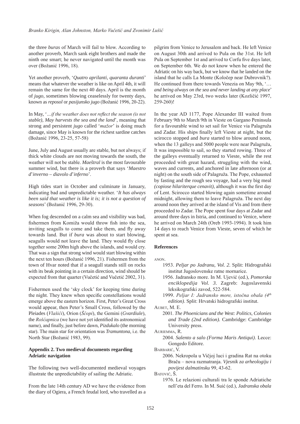the three *buras* of March will fail to blow. According to another proverb, March sank eight brothers and made the ninth one smart; he never navigated until the month was over (Božanić 1996, 18).

Yet another proverb, '*Quatro aprilanti, quaranta duranti*' means that whatever the weather is like on April 4th, it will remain the same for the next 40 days. April is the month of *jugo*, sometimes blowing ceaselessly for twenty days, known as *reposol* or *pasijunsko jugo* (Božanić 1996, 20-22).

In May, '*…if the weather does not reflect the season (is not stable), May harvests the sea and the land*', meaning that strong and persistent *jugo* called '*mažor*' is doing much damage, since May is known for the richest sardine catches (Božanić 1996, 23-25, 57-58)

June, July and August usually are stable, but not always; if thick white clouds are not moving towards the south, the weather will not be stable. *Maeštral* is the most favourable summer wind, but there is a proverb that says '*Maestro d*'*inverno – diavolo d*'*inferno*'.

High tides start in October and culminate in January, indicating bad and unpredictable weather. '*It has always been said that weather is like it is; it is not a question of seasons*' (Božanić 1996, 29-30).

When fog descended on a calm sea and visibility was bad, fishermen from Komiža would throw fish into the sea, inviting seagulls to come and take them, and fly away towards land. But if *bura* was about to start blowing, seagulls would not leave the land. They would fly close together some 200m high above the islands, and would cry. That was a sign that strong wind would start blowing within the next ten hours (Božanić 1996, 21). Fishermen from the town of Hvar noted that if a seagull stands still on rocks with its beak pointing in a certain direction, wind should be expected from that quarter (Vučetić and Vučetić 2002, 31).

Fishermen used the 'sky clock' for keeping time during the night. They knew when specific constellations would emerge above the eastern horizon. First, Peter's Great Cross would appear, then Peter's Small Cross, followed by the Pleiades (*Vlašići*), Orion (*Šćopi*), the Gemini (*Gvardiule*), the *Rošćapnica* (we have not yet identified its astronomical name), and finally, just before dawn, *Pizdukalo* (the morning star). The main star for orientation was *Tramuntona,* i.e. the North Star (Božanić 1983, 99).

#### **Appendix 2. Two medieval documents regarding Adriatic navigation**

The following two well-documented medieval voyages illustrate the unpredictability of sailing the Adriatic.

From the late 14th century AD we have the evidence from the diary of Ogiera, a French feudal lord, who travelled as a pilgrim from Venice to Jerusalem and back. He left Venice on August 30th and arrived to Pula on the 31st. He left Pula on September 1st and arrived to Corfu five days later, on September 6th. We do not know when he entered the Adriatic on his way back, but we know that he landed on the island that he calls La Monte (Koločep near Dubrovnik?). He continued from there towards Venezia on May 9th, '… *and being always on the sea and never landing at any place*' he arrived on May 23rd, two weeks later (Kozličić 1997, 259-260)!

In the year AD 1177, Pope Alexander III waited from February 9th to March 9th in Vieste on Gargano Peninsula for a favourable wind to set sail for Venice via Palagruža and Zadar. His ships finally left Vieste at night, but the scirocco stopped and *bura* started to blow around noon, when the 13 galleys and 5000 people were near Palagruža, It was impossible to sail, so they started rowing. Three of the galleys eventually returned to Vieste, while the rest proceeded with great hazard, struggling with the wind, waves and currents, and anchored in late afternoon (or at night) on the south side of Palagruža. The Pope, exhausted by fasting and the rough sea voyage, had a very big meal *(copiose hilariterque cenavit)*, although it was the first day of Lent. Scirocco started blowing again sometime around midnight, allowing them to leave Palagruža. The next day around noon they arrived at the island of Vis and from there proceeded to Zadar. The Pope spent four days at Zadar and around three days in Istria, and continued to Venice, where he arrived on March 24th (Oreb 1993-1994). It took him 14 days to reach Venice from Vieste, seven of which he spent at sea.

#### **References**

anon.

- 1953. *Peljar po Jadranu, Vol. 2.* Split: Hidrografski institut Jugoslovenske ratne mornarice.
- 1956. Jadransko more. In M. Ujević (ed.), *Pomorska enciklopedija Vol. 3.* Zagreb: Jugoslavenski leksikografski zavod, 522-584.
- 1999. *Peljar I: Jadransko more, istočna obala (4th edition)*. Split: Hrvatski hidrografski institut.

Aubet, M. E.

2001. *The Phoenicians and the West: Politics, Colonies and Trade (2nd edition).* Cambridge: Cambridge University press.

Auriemma, R.

2004. *Salento a salo (Forma Maris Antiqui)*. Lecce: Gongedo Editore.

BARBARIĆ, V.

2006. Nekropola u Vičjoj luci i gradina Rat na otoku Braču – nova razmatranja. *Vjesnik za arheologiju i povijest dalmatinsku* 99, 43-62.

Batović, Š.

1976. Le relazioni culturali tra le sponde Adriatiche nell'eta del Ferro. In M. Suić (ed.), *Jadranska obala*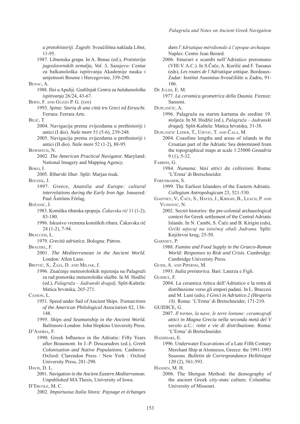*u protohistoriji*. Zagreb: Sveučilišna naklada Liber, 11-95.

1987. Liburnska grupa. In A. Benac (ed.), *Praistorija jugoslavenskih zemalja, Vol. 5*. Sarajevo: Centar za balkanološka ispitivanja Akademije nauka i umjetnosti Bosene i Hercegovine, 339-290.

Benac, A.

- 1988. Iliri u Apuliji. *Godišnjak Centra za balakanološka ispitivanja* 26/24, 43-67.
- BERTI, F. AND GUZZO P. G. (EDS)
	- 1993. *Spina: Storia di una città tra Greci ed Etruschi.*  Ferrara: Ferrara Arte.

BILIĆ, T.

- 2004. Navigacija prema zvijezdama u prethistoriji i antici (I dio). *Naše more* 51 (5-6), 239-248.
- 2005. Navigacija prema zvijezdama u prethistoriji i antici (II dio). *Naše more* 52 (1-2), 88-95.

BOWDITCH, N.

2002. *The American Practical Navigator.* Maryland: National Imagery and Mapping Agency.

Boko, I.

2005. *Ribarski libar*. Split: Marjan tisak.

Bouzek, J.

1997. *Greece, Anatolia and Europe: cultural interrelations during the Early Iron Age*. Jonsered: Paul Åströms Förlag.

Božanić, J.

- 1983. Komiška ribarska epopeja. *Čakavska rič* 11 (1-2), 83-180.
- 1996. Iskustvo vremena komiških ribara. Čakavska rič 24 (1-2), 7-94.
- Braccesi, L.

1979. *Grecità adriatica*. Bologna: Pàtron.

Braudel, F.

- 2001. *The Mediterranean in the Ancient World.*  London: Allen Lane.
- Britvić, S., Žaja, D. and Miljak, J.
	- 1996. Značenje meteoroloških mjerenja na Palagruži za rad pomorske meteorološke službe. In M. Hodžić (ed.), *Palagruža – Jadranski dragulj.* Split-Kaštela: Matica hrvatska, 265-271.

Casson, L.

- 1951. Speed under Sail of Ancient Ships. *Transactions of the American Philological Association* 82, 136- 148.
- 1995. *Ships and Seamanship in the Ancient World.* Baltimore-London: John Hopkins University Press.

D'ANDRIA, F.

1990. Greek Influence in the Adriatic: Fifty Years after Beaumont. In J.-P. Descœudres (ed.), *Greek Colonisation and Native Populations.* Canberra-Oxford: Clarendon Press / New York : Oxford University Press, 281-290.

Davis, D. L.

2001. *Navigation in the Ancient Eastern Mediterranean*. Unpublished MA Thesis, University of Iowa.

D'Ercole, M. C.

2002. *Importuosa Italia litora: Paysage et échanges* 

*dans l*'*Adriatique méridionale à l'epoque archaique.* Naples: Centre Jean Berard.

2006. Itinerari e scambi nell'Adriatico preromano (VIII-V. A.C.). In S.Čače, A. Kurilić and F. Tassaux (eds), *Les routes de l*'*Adriatique antique*. Bordeaux-Zadar: Institut Ausonius-Sveučilište u Zadru, 91- 106.

1977. *La ceramica geometrica della Daunia*. Firenze: Sansoni.

1996. Palagruža na starim kartama do sredine 19. stoljeća. In M. Hodžić (ed.), *Palagruža – Jadranski dragulj.* Split-Kaštela: Matica hrvatska, 31-38.

Duplančić Leder, T., Ujević, T. and Čala, M.

2004. Coastline lengths and areas of islands in the Croatian part of the Adriatic Sea determined from the topographical maps at scale 1:25000 *Geoadria* 9 (1), 5-32.

Fabrini, G.

1984. *Numana: Vasi attici da collezioni.* Roma: 'L'Erma' di Bretschneider.

Forenbaher, S.

- 1999. The Earliest Islanders of the Eastern Adriatic. *Collegium Antropologicum* 23, 521-530.
- Gaffney, V., Čače, S., Hayes, J., Kirigin, B., Leach, P. and Vujnović, N.
	- 2002. Secret histories: the pre-colonial archaeological context for Greek settlement of the Central Adriatic Islands. In N. Cambi, S. Čače and B. Kirigin (eds), *Grčki utjecaj na istočnoj obali Jadrana.* Split: Književni krug, 25-50.

Garnsey, P.

1988. *Famine and Food Supply in the Graeco-Roman World: Responses to Risk and Crisis*. Cambridge: Cambridge Univeristy Press.

Guidi, A. and Piperno, M.

1993. *Italia preistorica.* Bari: Laterza e Figli.

GUIDICE, F.

2004. La ceramica Attica dell'Adriatico e la rotta di distribuzione verso gli empori padani. In L. Braccesi and M. Luni (eds), *I Greci in Adriatico 2 (Hesperia 18)*. Roma: 'L'Erma' di Bretschneider, 171-210.

GUIDICE, G.

2007. *Il tornio, la nave, le terre lontane: ceramografi attici in Magna Grecia nella seconda metà del V secolo a.C.: rotte e vie di distribuzione.* Roma: 'L'Erma' di Bretschneider.

Hadjidaki, E.

1996. Underwater Excavations of a Late Fifth Century Merchant Ship at Alonnesos, Greece: the 1991-1993 Seasons. *Bulletin de Correspondance Hellénique* 120 (2), 561-593.

Hansen, M. H.

2006. The Shotgun Method: the demography of the ancient Greek city-state culture. Columbia: University of Missouri.

DE JULIIS, E. M.

Duplančić, A.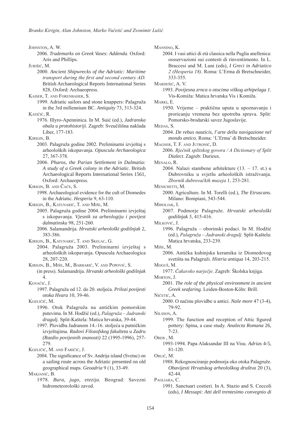JOHNSTON, A. W.

2006. *Trademarks on Greek Vases: Addenda*. Oxford: Aris and Phillips.

Jurišić, M.

- 2000. *Ancient Shipwrecks of the Adriatic: Maritime transport during the first and second century AD.*  British Archaeological Reports International Series 828, Oxford: Archaeopress.
- Kaiser, T. and Forenbaher, S.
- 1999. Adriatic sailors and stone knappers: Palagruža in the 3rd millennium BC. *Antiquity* 73, 313-324.

Katičić, R.

- 1976. Illyro-Apenninica. In M. Suić (ed.), *Jadranska obala u protohistoriji*. Zagreb: Sveučilišna naklada Liber, 177-183.
- KIRIGIN, B.
	- 2003. Palagruža godine 2002. Preliminarni izvještaj s arheoloških iskopavanja. *Opuscula Archaeologica* 27, 367-378.
	- 2006. *Pharos, the Parian Settlement in Dalmatia: A study of a Greek colony in the Adriatic*. British Archaeological Reports International Series 1561, Oxford: Archaeopress.

Kirigin, B. and Čače, S.

1998. Archaeological evidence for the cult of Diomedes in the Adriatic. *Hesperìa* 9, 63-110.

- Kirigin, B., Katunarić, T. and Miše, M.
	- 2005. Palagruža godine 2004. Preliminarni izvještaj s iskopavanja. *Vjesnik za arheologiju i povijest dalmatinsku* 98, 251-260.
	- 2006. Salamandrija. *Hrvatski arheološki godišnjak* 2, 383-386.
- Kirigin, B., Katunarić, T. and Skelac, G.
	- 2004. Palagruža 2003. Preliminarni izvještaj s arheoloških iskopavanja. Opuscula Archaeologica 28, 207-220.
- Kirigin, B., Miše, M., Barbarić, V. and Popović, S. (in press). Salamandrija. *Hrvatski arheološki godišnjak* 4.
- Kovačić, J.
	- 1997. Palagruža od 12. do 20. stoljeća. *Prilozi povijesti otoka Hvara* 10, 39-46.
- Kozličić, M.
	- 1996. Otok Palagruža na antičkim pomorskim putevima. In M. Hodžić (ed.), *Palagruža – Jadranski dragulj.* Split-Kaštela: Matica hrvatska, 39-44.
	- 1997. Plovidba Jadranom 14.-16. stoljeća u putničkim izvještajima. *Radovi Filozofskog fakulteta u Zadru (Razdio povijesnih znanosti)* 22 (1995-1996), 257- 279.

Kozličić, M. and Faričić, J.

Makjanić, B.

1978. *Bura, jugo, etezija.* Beograd: Savezni hidrometeorološki zavod.

Mannino, K.

2004. I vasi attici di età classica nella Puglia anellenica: ossservazioni sui contesti di rinventimento. In L. Braccesi and M. Luni (eds), *I Greci in Adriatico 2 (Hesperia 18)*. Roma: L'Erma di Bretschneider, 333-355.

Mardešić, A. V.

1993. *Povijesna zrnca o otocima viškog arhipelaga 1*. Vis-Komiža: Matica hrvatska Vis i Komiža.

Marki, E.

- 1950. Vrijeme praktična uputa u upoznavanju i proricanju vremena bez upotreba sprava. Split: Pomorsko-brodarski savez Jugoslavije.
- MEDAS<sub>S</sub>
	- 2004. *De rebus nauticis, l*'*arte della navigazione nel mondo antico.* Roma: 'L'Erma' di Bretschneider.
- Magner, T. F. and Jutronić, D.
	- 2006. *Rječnik splitskog govora / A Dictionary of Split Dialect*. Zagreb: Durieux.

Menalo, R.

2004. Nalazi stambene arhitekture  $(13. - 17. st.)$ u Dubrovniku u svjetlu arheoloških istraživanja. *Zbornik dubrovačkih muzeja* 1, 253-281.

MENICHETTI, M.

- 2000. Agriculture. In M. Torelli (ed.), *The Etruscans.* Milano: Bompiani, 543-544.
- Miholjak, I.
	- 2007. Podmorje Palagruže. *Hrvatski arheološki godišnjak* 3, 415-416.

Milković, J.

1996. Palagruža – oborinski podaci. In M. Hodžić (ed.), *Palagruža – Jadranski dragulj.* Split-Kaštela: Matica hrvatska, 233-239.

Miše, M.

2006. Antička kuhinjska keramika iz Diomedovog svetišta na Palagruži. *Histria antiqua* 14, 203-215.

Moguš, M.

1977. *Čakavsko narječje*. Zagreb: Školska knjiga.

MORTON, J.

2001. *The role of the physical environment in ancient Greek seafaring.* Leiden-Boston-Köln: Brill.

Ničetić, A.

2000. O načinu plovidbe u antici. *Naše more* 47 (3-4), 79-92.

Nilsson, A.

- 1999. The function and reception of Attic figured pottery: Spina, a case study. *Analecta Romana* 26, 7-23.
- OREB, M.
	- 1993-1994. Papa Alaksandar III na Visu. *Adrias* 4-5, 81-120.

Orlić, M.

Pagliara, C.

1991. Sanctuari costieri. In A. Stazio and S. Ceccoli (eds), *I Messapi: Atti dell trentesimo convegnio di* 

<sup>2004.</sup> The significance of Sv. Andrija island (Svetac) on a sailing route across the Adriatic presented on old geographical maps. *Geoadria* 9 (1), 33-49.

<sup>1988.</sup> Rekognosciranje podmorja oko otoka Palagruže. *Obavijesti Hrvatskog arheološkog društva* 20 (3), 42-44.